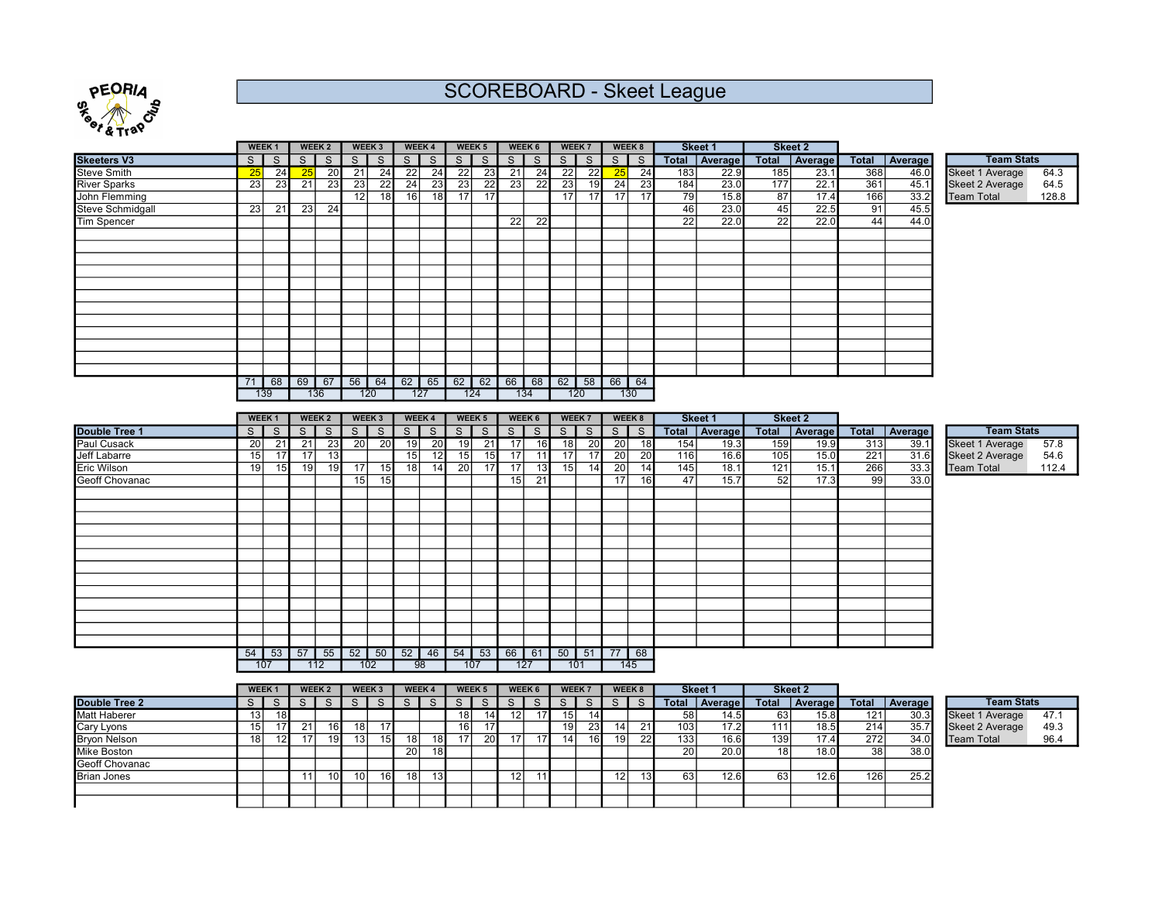

## SCOREBOARD - Skeet League

|                     |                 | <b>WEEK1</b>      |                 | WEEK 2          |                 | WEEK 3                   |                 | WEEK 4          |                         | WEEK <sub>5</sub> |                 | WEEK 6          | WEEK 7                                     |                 | WEEK 8           |                 |     | Skeet 1         |                 | Skeet 2         |                  |                 |                   |       |
|---------------------|-----------------|-------------------|-----------------|-----------------|-----------------|--------------------------|-----------------|-----------------|-------------------------|-------------------|-----------------|-----------------|--------------------------------------------|-----------------|------------------|-----------------|-----|-----------------|-----------------|-----------------|------------------|-----------------|-------------------|-------|
| <b>Skeeters V3</b>  | S               | $\overline{s}$    | $\overline{s}$  | $\overline{s}$  | $S \mid$        | $\overline{s}$           | $\overline{s}$  | $\overline{s}$  | $\overline{\mathsf{s}}$ | $\overline{s}$    |                 | $S \rceil S$    | $\overline{\mathsf{s}}$                    | $\overline{s}$  | $S \rceil$       |                 |     | Total Average   |                 | Total Average   |                  | Total Average   | <b>Team Stats</b> |       |
| <b>Steve Smith</b>  | 25              | 24                | 25              | 20              | $\overline{21}$ | 24                       | $\overline{22}$ | 24              | 22                      | 23                | 21              | 24              | 22                                         | 22              | 25               | 24              | 183 | 22.9            | 185             | 23.1            | 368              | 46.0            | Skeet 1 Average   | 64.3  |
| <b>River Sparks</b> | 23              | $\overline{23}$   | $\overline{21}$ | $\overline{23}$ | $\overline{23}$ | $\overline{22}$          | $\overline{24}$ | $\overline{23}$ | $\overline{23}$         | $\overline{22}$   | $\overline{23}$ | $\overline{22}$ | $\overline{23}$                            | 19              | 24               | $\overline{23}$ | 184 | 23.0            | 177             | 22.1            | $\overline{361}$ | 45.1            | Skeet 2 Average   | 64.5  |
| John Flemming       |                 |                   |                 |                 | $\overline{12}$ | $\overline{18}$          | $\overline{16}$ | $\overline{18}$ | $\overline{17}$         | $\overline{17}$   |                 |                 | $\overline{17}$                            | $\overline{17}$ | $\overline{17}$  | $\overline{17}$ | 79  | 15.8            | $\overline{87}$ | 17.4            | 166              | 33.2            | <b>Team Total</b> | 128.8 |
| Steve Schmidgall    | 23              | 21                | 23              | 24              |                 |                          |                 |                 |                         |                   |                 |                 |                                            |                 |                  |                 | 46  | 23.0            | 45              | 22.5            | 91               | 45.5            |                   |       |
| <b>Tim Spencer</b>  |                 |                   |                 |                 |                 |                          |                 |                 |                         |                   | $\overline{22}$ | $\overline{22}$ |                                            |                 |                  |                 | 22  | 22.0            | $\overline{22}$ | 22.0            | 44               | 44.0            |                   |       |
|                     |                 |                   |                 |                 |                 |                          |                 |                 |                         |                   |                 |                 |                                            |                 |                  |                 |     |                 |                 |                 |                  |                 |                   |       |
|                     |                 |                   |                 |                 |                 |                          |                 |                 |                         |                   |                 |                 |                                            |                 |                  |                 |     |                 |                 |                 |                  |                 |                   |       |
|                     |                 |                   |                 |                 |                 |                          |                 |                 |                         |                   |                 |                 |                                            |                 |                  |                 |     |                 |                 |                 |                  |                 |                   |       |
|                     |                 |                   |                 |                 |                 |                          |                 |                 |                         |                   |                 |                 |                                            |                 |                  |                 |     |                 |                 |                 |                  |                 |                   |       |
|                     |                 |                   |                 |                 |                 |                          |                 |                 |                         |                   |                 |                 |                                            |                 |                  |                 |     |                 |                 |                 |                  |                 |                   |       |
|                     |                 |                   |                 |                 |                 |                          |                 |                 |                         |                   |                 |                 |                                            |                 |                  |                 |     |                 |                 |                 |                  |                 |                   |       |
|                     |                 |                   |                 |                 |                 |                          |                 |                 |                         |                   |                 |                 |                                            |                 |                  |                 |     |                 |                 |                 |                  |                 |                   |       |
|                     |                 |                   |                 |                 |                 |                          |                 |                 |                         |                   |                 |                 |                                            |                 |                  |                 |     |                 |                 |                 |                  |                 |                   |       |
|                     |                 |                   |                 |                 |                 |                          |                 |                 |                         |                   |                 |                 |                                            |                 |                  |                 |     |                 |                 |                 |                  |                 |                   |       |
|                     |                 |                   |                 |                 |                 |                          |                 |                 |                         |                   |                 |                 |                                            |                 |                  |                 |     |                 |                 |                 |                  |                 |                   |       |
|                     |                 |                   |                 |                 |                 |                          |                 |                 |                         |                   |                 |                 |                                            |                 |                  |                 |     |                 |                 |                 |                  |                 |                   |       |
|                     |                 |                   |                 |                 |                 |                          |                 |                 |                         |                   |                 |                 |                                            |                 |                  |                 |     |                 |                 |                 |                  |                 |                   |       |
|                     | 71              | 68<br>139         | 69 67           | 136             |                 | 120                      | 127             |                 |                         | 124               | 134             |                 | 56 64 62 65 62 62 66 68 62 58 66 64<br>120 |                 | 130              |                 |     |                 |                 |                 |                  |                 |                   |       |
|                     |                 |                   |                 |                 |                 |                          |                 |                 |                         |                   |                 |                 |                                            |                 |                  |                 |     |                 |                 |                 |                  |                 |                   |       |
|                     |                 | WEEK <sub>1</sub> |                 | WEEK 2          |                 | WEEK 3                   |                 | WEEK 4          |                         | WEEK <sub>5</sub> |                 | WEEK 6          | WEEK 7                                     |                 | WEEK 8           |                 |     | Skeet 1         |                 | Skeet 2         |                  |                 |                   |       |
| Double Tree 1       | S               | $\overline{s}$    | $\overline{s}$  | $\overline{s}$  |                 | $S \mid S$               | $\overline{s}$  | $\overline{s}$  |                         | S S               |                 | S S             | $S \mid S$                                 |                 | $S \mid S$       |                 |     | Total   Average |                 | Total   Average |                  | Total   Average | <b>Team Stats</b> |       |
| <b>Paul Cusack</b>  | 20              | $\overline{21}$   | 21              | 23              | 20              | 20                       | 19              | 20              | 19                      | $-21$             | 17              | 16              | 18                                         | 20              | 20               | 18              | 154 | 19.3            | 159             | 19.9            | 313              | 39.1            | Skeet 1 Average   | 57.8  |
| <b>Jeff Labarre</b> | 15              | 17                | 17              | 13              |                 |                          | 15              | 12              | 15                      | 15                | 17              | 11              | 17                                         | 17              | 20               | 20              | 116 | 16.6            | 105             | 15.0            | 221              | 31.6            | Skeet 2 Average   | 54.6  |
| Eric Wilson         | $\overline{19}$ | 15                | 19              | $\overline{19}$ | $\overline{17}$ | 15                       | 18              | $\overline{14}$ | $\overline{20}$         | $\overline{17}$   | 17              | 13              | 15                                         | 14              | $\overline{20}$  | 14              | 145 | 18.1            | 121             | 15.1            | 266              | 33.3            | <b>Team Total</b> | 112.4 |
| Geoff Chovanac      |                 |                   |                 |                 | 15              | 15                       |                 |                 |                         |                   | 15              | $\overline{21}$ |                                            |                 | 17               | 16              | 47  | 15.7            | 52              | 17.3            | 99               | 33.0            |                   |       |
|                     |                 |                   |                 |                 |                 |                          |                 |                 |                         |                   |                 |                 |                                            |                 |                  |                 |     |                 |                 |                 |                  |                 |                   |       |
|                     |                 |                   |                 |                 |                 |                          |                 |                 |                         |                   |                 |                 |                                            |                 |                  |                 |     |                 |                 |                 |                  |                 |                   |       |
|                     |                 |                   |                 |                 |                 |                          |                 |                 |                         |                   |                 |                 |                                            |                 |                  |                 |     |                 |                 |                 |                  |                 |                   |       |
|                     |                 |                   |                 |                 |                 |                          |                 |                 |                         |                   |                 |                 |                                            |                 |                  |                 |     |                 |                 |                 |                  |                 |                   |       |
|                     |                 |                   |                 |                 |                 |                          |                 |                 |                         |                   |                 |                 |                                            |                 |                  |                 |     |                 |                 |                 |                  |                 |                   |       |
|                     |                 |                   |                 |                 |                 |                          |                 |                 |                         |                   |                 |                 |                                            |                 |                  |                 |     |                 |                 |                 |                  |                 |                   |       |
|                     |                 |                   |                 |                 |                 |                          |                 |                 |                         |                   |                 |                 |                                            |                 |                  |                 |     |                 |                 |                 |                  |                 |                   |       |
|                     |                 |                   |                 |                 |                 |                          |                 |                 |                         |                   |                 |                 |                                            |                 |                  |                 |     |                 |                 |                 |                  |                 |                   |       |
|                     |                 |                   |                 |                 |                 |                          |                 |                 |                         |                   |                 |                 |                                            |                 |                  |                 |     |                 |                 |                 |                  |                 |                   |       |
|                     |                 |                   |                 |                 |                 |                          |                 |                 |                         |                   |                 |                 |                                            |                 |                  |                 |     |                 |                 |                 |                  |                 |                   |       |
|                     |                 |                   |                 |                 |                 |                          |                 |                 |                         |                   |                 |                 |                                            |                 |                  |                 |     |                 |                 |                 |                  |                 |                   |       |
|                     |                 |                   |                 |                 |                 |                          |                 |                 |                         |                   |                 |                 |                                            |                 |                  |                 |     |                 |                 |                 |                  |                 |                   |       |
|                     |                 |                   |                 |                 |                 |                          |                 |                 |                         |                   |                 |                 |                                            |                 |                  |                 |     |                 |                 |                 |                  |                 |                   |       |
|                     |                 |                   |                 |                 |                 |                          |                 |                 |                         |                   |                 |                 |                                            |                 |                  |                 |     |                 |                 |                 |                  |                 |                   |       |
|                     | $54 \mid$       | 53<br>107         | 57 55           | 112             |                 | $52 \mid 50 \mid$<br>102 | $52 \mid 46$    | 98              | 107                     | $54$ 53           | 127             | 66 61           | $50$ 51<br>101                             |                 | $77$ $68$<br>145 |                 |     |                 |                 |                 |                  |                 |                   |       |

|                     | <b>WEEK</b> |    | WEEK <sub>2</sub> |                 | WEEK <sub>3</sub> | <b>WEEK4</b>    |                 |     | <b>WEEK5</b> | <b>WEEK6</b> |                 |                 | <b>WEEK7</b> |                 | WEEK 8 |       | <b>Skeet 1</b>    |              | <b>Skeet 2</b>    |       |                |                        |      |
|---------------------|-------------|----|-------------------|-----------------|-------------------|-----------------|-----------------|-----|--------------|--------------|-----------------|-----------------|--------------|-----------------|--------|-------|-------------------|--------------|-------------------|-------|----------------|------------------------|------|
| Double Tree 2       |             |    |                   |                 |                   |                 |                 | S.  | $\mathbf{C}$ |              |                 |                 |              |                 |        | Total | Average           | <b>Total</b> | l Average I       | Total | <b>Average</b> | <b>Team Stats</b>      |      |
| Matt Haberer        | 13          |    |                   |                 |                   |                 |                 | 18۱ | 141          | 12           | 17 <sup>1</sup> | 15 <sup>1</sup> |              |                 |        | 58    | 14.5              | 63 I         | 15.8 <sub>1</sub> | 121   | 30.3           | Skeet 1 Average        | 47.1 |
| Cary Lyons          | 15          | 21 | 16 I              | 18 <sub>1</sub> | 17                |                 |                 | 16ı |              |              |                 | 19 I            | 23           | 14              |        | 103   | 17.2              | 111          | 18.5              | 214   | 35.7           | <b>Skeet 2 Average</b> | 49.3 |
| <b>Bryon Nelson</b> | 18          | 17 | 19                | 13              | 151               | 18              | 18 <b>I</b>     | 17  | <b>20</b>    |              | 17 <sup>1</sup> | 14 I            | 16           | 19 <sup>1</sup> | 22     | 1331  | 16.6              | 139          | 17.4              | 272   | 34.0           | <b>Team Total</b>      | 96.4 |
| Mike Boston         |             |    |                   |                 |                   | 20 <sub>1</sub> | 18 <sup>l</sup> |     |              |              |                 |                 |              |                 |        | 20    | 20.0 <sub>1</sub> | 18 I         | 18.0 <sub>1</sub> | 38    | 38.0           |                        |      |
| Geoff Chovanac      |             |    |                   |                 |                   |                 |                 |     |              |              |                 |                 |              |                 |        |       |                   |              |                   |       |                |                        |      |
| <b>Brian Jones</b>  |             |    | 10                | 10 <sup>1</sup> | 16                | 18              | 13 <sup>l</sup> |     |              |              |                 |                 |              |                 | 13 I   | 63    | 12.6              | 63           | 12.6              | 126   | 25.2           |                        |      |
|                     |             |    |                   |                 |                   |                 |                 |     |              |              |                 |                 |              |                 |        |       |                   |              |                   |       |                |                        |      |
|                     |             |    |                   |                 |                   |                 |                 |     |              |              |                 |                 |              |                 |        |       |                   |              |                   |       |                |                        |      |

| <b>Team Stats</b>      |      |
|------------------------|------|
| Skeet 1 Average        | 471  |
| <b>Skeet 2 Average</b> | 49.3 |
| <b>Team Total</b>      | 964  |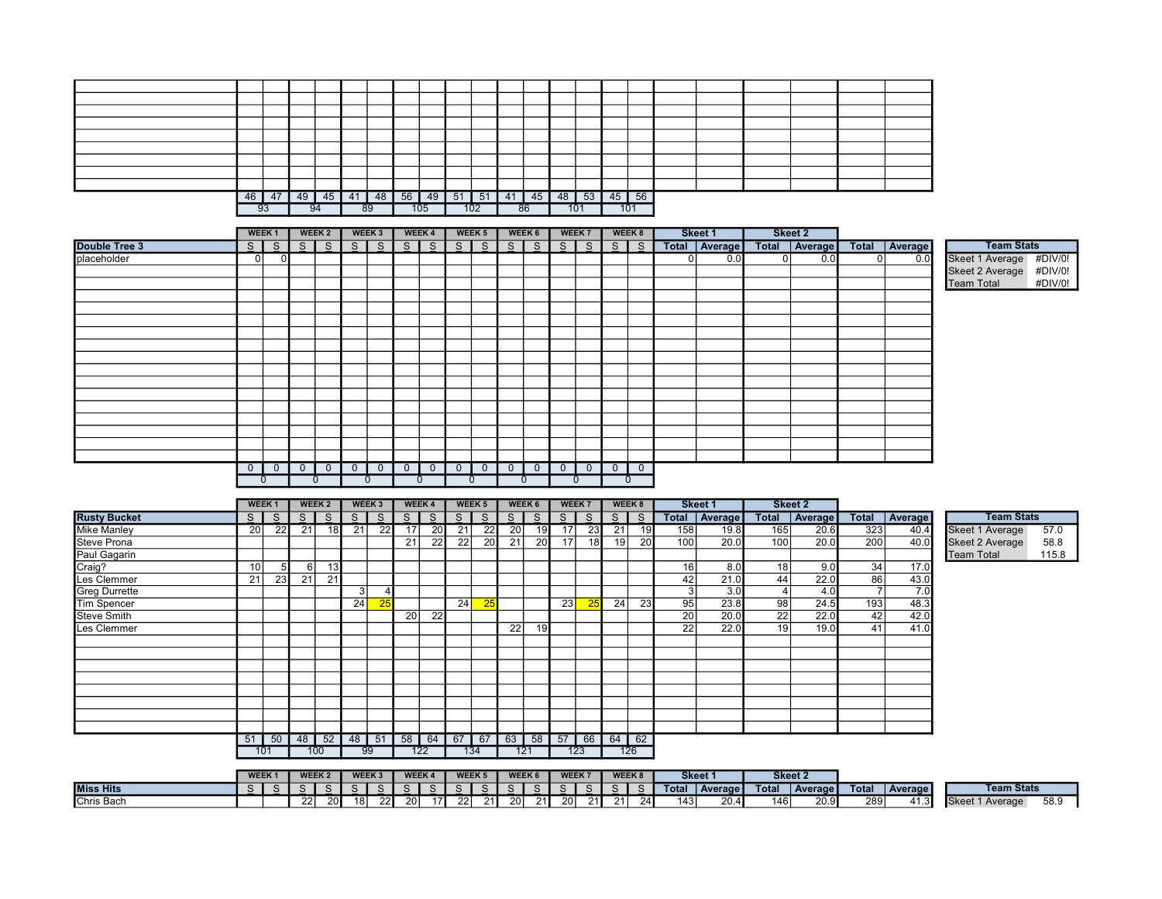| 46 | 47 | 49 | 45 | 41 | 48 | 56 | 49  | 51 | 51  | 41 | 45 | 48 | 53  | $45 \mid$ | 56  |  |  |  |
|----|----|----|----|----|----|----|-----|----|-----|----|----|----|-----|-----------|-----|--|--|--|
| 93 |    | 94 |    |    | 89 |    | 105 |    | 102 |    | 86 |    | 101 |           | 101 |  |  |  |

|               |                | WEEK <sub>1</sub> | WEEK 2         |                | WEEK 3         |                | WEEK 4                   |           | WEEK 5         |                | WEEK 6         | WEEK 7 | WEEK 8 | Skeet 1 | Skeet 2                           |    |     |                         |         |
|---------------|----------------|-------------------|----------------|----------------|----------------|----------------|--------------------------|-----------|----------------|----------------|----------------|--------|--------|---------|-----------------------------------|----|-----|-------------------------|---------|
| Double Tree 3 |                |                   |                |                |                |                |                          |           |                |                |                |        |        |         | Total   Average   Total   Average |    |     | <b>Team Stats</b>       |         |
| placeholder   | 01             |                   |                |                |                |                |                          |           |                |                |                |        |        | 0.0     | 01<br>0.0                         | 01 | 0.0 | Skeet 1 Average #DIV/0! |         |
|               |                |                   |                |                |                |                |                          |           |                |                |                |        |        |         |                                   |    |     | Skeet 2 Average #DIV/0! |         |
|               |                |                   |                |                |                |                |                          |           |                |                |                |        |        |         |                                   |    |     | <b>Team Total</b>       | #DIV/0! |
|               |                |                   |                |                |                |                |                          |           |                |                |                |        |        |         |                                   |    |     |                         |         |
|               |                |                   |                |                |                |                |                          |           |                |                |                |        |        |         |                                   |    |     |                         |         |
|               |                |                   |                |                |                |                |                          |           |                |                |                |        |        |         |                                   |    |     |                         |         |
|               |                |                   |                |                |                |                |                          |           |                |                |                |        |        |         |                                   |    |     |                         |         |
|               |                |                   |                |                |                |                |                          |           |                |                |                |        |        |         |                                   |    |     |                         |         |
|               |                |                   |                |                |                |                |                          |           |                |                |                |        |        |         |                                   |    |     |                         |         |
|               |                |                   |                |                |                |                |                          |           |                |                |                |        |        |         |                                   |    |     |                         |         |
|               |                |                   |                |                |                |                |                          |           |                |                |                |        |        |         |                                   |    |     |                         |         |
|               |                |                   |                |                |                |                |                          |           |                |                |                |        |        |         |                                   |    |     |                         |         |
|               |                |                   |                |                |                |                |                          |           |                |                |                |        |        |         |                                   |    |     |                         |         |
|               |                |                   |                |                |                |                |                          |           |                |                |                |        |        |         |                                   |    |     |                         |         |
|               |                |                   |                |                |                |                |                          |           |                |                |                |        |        |         |                                   |    |     |                         |         |
|               |                |                   |                |                |                |                |                          |           |                |                |                |        |        |         |                                   |    |     |                         |         |
|               |                |                   |                |                |                |                |                          |           |                |                |                |        |        |         |                                   |    |     |                         |         |
|               | $\overline{0}$ | $\overline{0}$    | $\overline{0}$ | $\overline{0}$ | $\overline{0}$ | $\overline{0}$ | $\overline{\phantom{0}}$ | $\circ$ 1 | $\overline{0}$ | $\overline{0}$ | $\overline{0}$ |        |        |         |                                   |    |     |                         |         |
|               |                | 0                 |                |                |                |                | $\mathbf{0}$             |           | 0              |                | $\sigma$       |        | 0      |         |                                   |    |     |                         |         |

|                      |                 | WEEK <sub>1</sub> |    | WEEK 2          |    | WEEK 3 |                 | WEEK 4 |                 | WEEK 5 |                 | WEEK 6 | WEEK 7    |                 |                 | WEEK 8          |                 | Skeet 1 |                 | Skeet 2 |                |         |                        |       |
|----------------------|-----------------|-------------------|----|-----------------|----|--------|-----------------|--------|-----------------|--------|-----------------|--------|-----------|-----------------|-----------------|-----------------|-----------------|---------|-----------------|---------|----------------|---------|------------------------|-------|
| <b>Rusty Bucket</b>  | S I             | -S                | S. | S.              | S. | S.     | S.              | S.     | S.              | S.     | S               | S.     | S I       | S.              | S I             | -S              | Total           | Average | <b>Total</b>    | Average | <b>Total</b>   | Average | <b>Team Stats</b>      |       |
| <b>Mike Manley</b>   | 20              | 22                | 21 | 18 <sup>l</sup> | 21 | 22     | $\overline{17}$ | 20     | $\overline{21}$ | 22     | $\overline{20}$ | 19     | 17        | 23              | $\overline{21}$ | 19              | 158             | 19.8    | 165             | 20.6    | 323            | 40.4    | Skeet 1 Average        | 57.0  |
| <b>Steve Prona</b>   |                 |                   |    |                 |    |        | 21              | 22     | 22              | 20     | 21              | 20     | 17        | 18              | 19              | 20 <sup>1</sup> | 100             | 20.0    | 100             | 20.0    | 200            | 40.0    | <b>Skeet 2 Average</b> | 58.8  |
| Paul Gagarin         |                 |                   |    |                 |    |        |                 |        |                 |        |                 |        |           |                 |                 |                 |                 |         |                 |         |                |         | <b>Team Total</b>      | 115.8 |
| Craig?               | 10 <sup>1</sup> |                   |    | 13              |    |        |                 |        |                 |        |                 |        |           |                 |                 |                 | 16              | 8.0     | 18 <sub>l</sub> | 9.0     | 34             | 17.0    |                        |       |
| Les Clemmer          | 21              | 23                | 21 | 21              |    |        |                 |        |                 |        |                 |        |           |                 |                 |                 | 42              | 21.0    | 44              | 22.0    | 86             | 43.0    |                        |       |
| <b>Greg Durrette</b> |                 |                   |    |                 | 3  |        |                 |        |                 |        |                 |        |           |                 |                 |                 | 3 <sub>1</sub>  | 3.0     |                 | 4.0     | $\overline{ }$ | 7.0     |                        |       |
| <b>Tim Spencer</b>   |                 |                   |    |                 | 24 | 25     |                 |        | 24              | 25     |                 |        | 23        | 25 <sub>1</sub> | 24 <sup>1</sup> | 23              | 95              | 23.8    | 98              | 24.5    | 193            | 48.3    |                        |       |
| <b>Steve Smith</b>   |                 |                   |    |                 |    |        | 20              | 22     |                 |        |                 |        |           |                 |                 |                 | 20              | 20.0    | $\overline{22}$ | 22.0    | 42             | 42.0    |                        |       |
| Les Clemmer          |                 |                   |    |                 |    |        |                 |        |                 |        | 22              | 19     |           |                 |                 |                 | $\overline{22}$ | 22.0    | 19              | 19.0    | 41             | 41.0    |                        |       |
|                      |                 |                   |    |                 |    |        |                 |        |                 |        |                 |        |           |                 |                 |                 |                 |         |                 |         |                |         |                        |       |
|                      |                 |                   |    |                 |    |        |                 |        |                 |        |                 |        |           |                 |                 |                 |                 |         |                 |         |                |         |                        |       |
|                      |                 |                   |    |                 |    |        |                 |        |                 |        |                 |        |           |                 |                 |                 |                 |         |                 |         |                |         |                        |       |
|                      |                 |                   |    |                 |    |        |                 |        |                 |        |                 |        |           |                 |                 |                 |                 |         |                 |         |                |         |                        |       |
|                      |                 |                   |    |                 |    |        |                 |        |                 |        |                 |        |           |                 |                 |                 |                 |         |                 |         |                |         |                        |       |
|                      |                 |                   |    |                 |    |        |                 |        |                 |        |                 |        |           |                 |                 |                 |                 |         |                 |         |                |         |                        |       |
|                      |                 |                   |    |                 |    |        |                 |        |                 |        |                 |        |           |                 |                 |                 |                 |         |                 |         |                |         |                        |       |
|                      |                 |                   |    |                 |    |        |                 |        |                 |        |                 |        |           |                 |                 |                 |                 |         |                 |         |                |         |                        |       |
|                      | 51              | 50                |    | $48 \mid 52$    |    | 48 51  | 58              | 64     | 67              | 67     | 63              | 58     | $57 \mid$ | 66              | $64$ 62         |                 |                 |         |                 |         |                |         |                        |       |
|                      |                 | 101               |    | 100             |    | 99     |                 | 122    |                 | 134    | 121             |        |           | 123             |                 | 126             |                 |         |                 |         |                |         |                        |       |

|                  |  | <b>WEEK2</b> |                 |    | WEEK <sub>3</sub> |      | <b>WEEK4</b> |    | WEEK <sub>5</sub>     |       | <b>WEEK6</b> |    | WEEK 7 |                 | <b>WEEK8</b> |            |                  | <b>Skeet</b> | Skeet 2 |                  |              |                   |                               |                   |      |
|------------------|--|--------------|-----------------|----|-------------------|------|--------------|----|-----------------------|-------|--------------|----|--------|-----------------|--------------|------------|------------------|--------------|---------|------------------|--------------|-------------------|-------------------------------|-------------------|------|
| <b>Miss Hits</b> |  |              |                 |    | $\sim$            |      |              |    |                       |       | $\sim$       |    |        | $\sim$          |              |            | Total            | Average      | Total   | <b>Average I</b> | <b>Total</b> | <b>Average</b>    |                               | <b>Team Stats</b> |      |
| Chris Bach       |  | 22           | 20 <sub>l</sub> | 18 | 22 I              | 20 l | 17I          | 22 | $\sim$ $\sim$<br>-211 | -20 l | $\sim$ 1     | 20 |        | 21 <sub>1</sub> | 21           | <b>241</b> | 143 <sup>1</sup> | 20.4         | 146     | 20.9             | 289          | ี 11 ? I<br>41.JL | Skeet<br><sup>1</sup> Average |                   | 58.9 |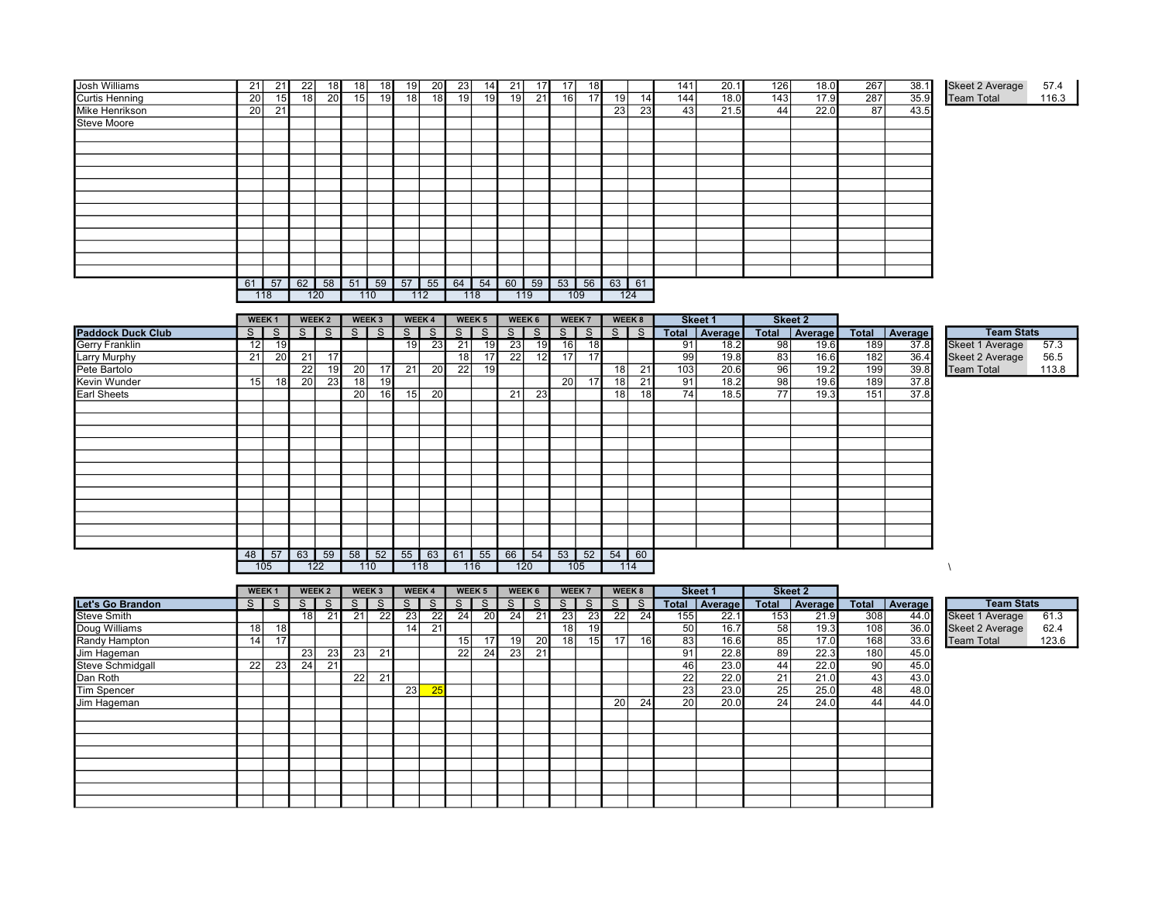| <b>Josh Williams</b>  | 21              | 211             | 22  | 18I | 18 | 18 I        | 19              | 20 <sup>1</sup> | 23 | 14  | 21          | 17 <sup>1</sup> | 17              | 18              |                 |     | 141             | 20.1 | 126 | 18.0 | 267 | 38.1 | <b>Skeet 2 Average</b> | 57.4  |
|-----------------------|-----------------|-----------------|-----|-----|----|-------------|-----------------|-----------------|----|-----|-------------|-----------------|-----------------|-----------------|-----------------|-----|-----------------|------|-----|------|-----|------|------------------------|-------|
| <b>Curtis Henning</b> | <b>20</b>       | 15 <sup>1</sup> | 181 | 20I | 15 | 19          | 18 <sup>1</sup> | 18              | 19 | 19  | 19          | 21              | 16 <sup>1</sup> | 17 <sup>1</sup> | 19 <sup>1</sup> | 14  | 144             | 18.0 | 143 | 17.9 | 287 | 35.9 | <b>Team Total</b>      | 116.3 |
| Mike Henrikson        | 20 <sub>l</sub> | 21              |     |     |    |             |                 |                 |    |     |             |                 |                 |                 | 23              | 23  | 43 <sub>l</sub> | 21.5 | 44  | 22.0 | 87  | 43.5 |                        |       |
| <b>Steve Moore</b>    |                 |                 |     |     |    |             |                 |                 |    |     |             |                 |                 |                 |                 |     |                 |      |     |      |     |      |                        |       |
|                       |                 |                 |     |     |    |             |                 |                 |    |     |             |                 |                 |                 |                 |     |                 |      |     |      |     |      |                        |       |
|                       |                 |                 |     |     |    |             |                 |                 |    |     |             |                 |                 |                 |                 |     |                 |      |     |      |     |      |                        |       |
|                       |                 |                 |     |     |    |             |                 |                 |    |     |             |                 |                 |                 |                 |     |                 |      |     |      |     |      |                        |       |
|                       |                 |                 |     |     |    |             |                 |                 |    |     |             |                 |                 |                 |                 |     |                 |      |     |      |     |      |                        |       |
|                       |                 |                 |     |     |    |             |                 |                 |    |     |             |                 |                 |                 |                 |     |                 |      |     |      |     |      |                        |       |
|                       |                 |                 |     |     |    |             |                 |                 |    |     |             |                 |                 |                 |                 |     |                 |      |     |      |     |      |                        |       |
|                       |                 |                 |     |     |    |             |                 |                 |    |     |             |                 |                 |                 |                 |     |                 |      |     |      |     |      |                        |       |
|                       |                 |                 |     |     |    |             |                 |                 |    |     |             |                 |                 |                 |                 |     |                 |      |     |      |     |      |                        |       |
|                       |                 |                 |     |     |    |             |                 |                 |    |     |             |                 |                 |                 |                 |     |                 |      |     |      |     |      |                        |       |
|                       |                 |                 |     |     |    |             |                 |                 |    |     |             |                 |                 |                 |                 |     |                 |      |     |      |     |      |                        |       |
|                       |                 |                 |     |     |    |             |                 |                 |    |     |             |                 |                 |                 |                 |     |                 |      |     |      |     |      |                        |       |
|                       |                 |                 |     |     |    |             |                 |                 |    |     |             |                 |                 |                 |                 |     |                 |      |     |      |     |      |                        |       |
|                       |                 | $61$ 57         |     |     |    | 62 58 51 59 | $57$ 55         |                 |    |     | 64 54 60 59 |                 |                 |                 | 53 56 63 61     |     |                 |      |     |      |     |      |                        |       |
|                       |                 | 118             |     | 120 |    | 110         |                 | 112             |    | 118 |             | 119             |                 | 109             |                 | 124 |                 |      |     |      |     |      |                        |       |

|                          |     | WEEK <sub>1</sub> |          | WEEK 2 |                 | WEEK 3 |                 | WEEK 4          |                 | WEEK 5       |                 | WEEK 6 |     | WEEK <sub>7</sub> |                 | WEEK 8 |     | Skeet 1         |    | Skeet 2         |     |                 |                        |       |
|--------------------------|-----|-------------------|----------|--------|-----------------|--------|-----------------|-----------------|-----------------|--------------|-----------------|--------|-----|-------------------|-----------------|--------|-----|-----------------|----|-----------------|-----|-----------------|------------------------|-------|
| <b>Paddock Duck Club</b> | s I | - S               | s I      | S.     | SI.             | S.     | S.              | <sub>S</sub>    | <sub>S</sub>    | <sub>S</sub> | S.              | S.     | S I | S                 | $S \mid$        | - S    |     | Total   Average |    | Total   Average |     | Total   Average | <b>Team Stats</b>      |       |
| <b>Gerry Franklin</b>    | 12  | 19 <sup>l</sup>   |          |        |                 |        | 19 I            | 23              | $\overline{21}$ | 19           | $\overline{23}$ | 19     | 16  | 18                |                 |        | 91  | 18.2            | 98 | 19.6            | 189 | 37.8            | Skeet 1 Average        | 57.3  |
| <b>Larry Murphy</b>      | 21  | 20                | 21       | 17     |                 |        |                 |                 | 18              | 17           | 22              | 12     | 17  | 17 <sup>1</sup>   |                 |        | 99  | 19.8            | 83 | 16.6            | 182 | 36.4            | <b>Skeet 2 Average</b> | 56.5  |
| Pete Bartolo             |     |                   | 22       | 19     | $\overline{20}$ | 17     | $\overline{21}$ | $\overline{20}$ | 22              | 19           |                 |        |     |                   | 18 <sup>1</sup> | 21     | 103 | 20.6            | 96 | 19.2            | 199 | 39.8            | <b>Team Total</b>      | 113.8 |
| Kevin Wunder             | 15  | 18                | 20 l     | 23     | 18              | 19     |                 |                 |                 |              |                 |        | 20  | 17                | 18              | 21     | 91  | 18.2            | 98 | 19.6            | 189 | 37.8            |                        |       |
| <b>Earl Sheets</b>       |     |                   |          |        | 20              | 16I    | 15              | 20              |                 |              | 21              | 23     |     |                   | 18              | 18     | 74  | 18.5            | 77 | 19.3            | 151 | 37.8            |                        |       |
|                          |     |                   |          |        |                 |        |                 |                 |                 |              |                 |        |     |                   |                 |        |     |                 |    |                 |     |                 |                        |       |
|                          |     |                   |          |        |                 |        |                 |                 |                 |              |                 |        |     |                   |                 |        |     |                 |    |                 |     |                 |                        |       |
|                          |     |                   |          |        |                 |        |                 |                 |                 |              |                 |        |     |                   |                 |        |     |                 |    |                 |     |                 |                        |       |
|                          |     |                   |          |        |                 |        |                 |                 |                 |              |                 |        |     |                   |                 |        |     |                 |    |                 |     |                 |                        |       |
|                          |     |                   |          |        |                 |        |                 |                 |                 |              |                 |        |     |                   |                 |        |     |                 |    |                 |     |                 |                        |       |
|                          |     |                   |          |        |                 |        |                 |                 |                 |              |                 |        |     |                   |                 |        |     |                 |    |                 |     |                 |                        |       |
|                          |     |                   |          |        |                 |        |                 |                 |                 |              |                 |        |     |                   |                 |        |     |                 |    |                 |     |                 |                        |       |
|                          |     |                   |          |        |                 |        |                 |                 |                 |              |                 |        |     |                   |                 |        |     |                 |    |                 |     |                 |                        |       |
|                          |     |                   |          |        |                 |        |                 |                 |                 |              |                 |        |     |                   |                 |        |     |                 |    |                 |     |                 |                        |       |
|                          |     |                   |          |        |                 |        |                 |                 |                 |              |                 |        |     |                   |                 |        |     |                 |    |                 |     |                 |                        |       |
|                          |     |                   |          |        |                 |        |                 |                 |                 |              |                 |        |     |                   |                 |        |     |                 |    |                 |     |                 |                        |       |
|                          |     |                   |          |        |                 |        |                 |                 |                 |              |                 |        |     |                   |                 |        |     |                 |    |                 |     |                 |                        |       |
|                          | 48  |                   | 57 63 59 |        |                 |        | 58 52 55 63 61  |                 |                 | 55           |                 | 66 54  |     |                   | 53 52 54 60     |        |     |                 |    |                 |     |                 |                        |       |
|                          |     | 105               |          | 122    |                 | 110    |                 | 118             |                 | 116          |                 | 120    |     | 105               |                 | 114    |     |                 |    |                 |     |                 |                        |       |

|                    |            | WEEK <sub>1</sub> |      | WEEK 2 |                 | WEEK 3          | <b>WEEK4</b>    |    |          | WEEK <sub>5</sub> |     | WEEK 6 | WEEK 7          |                 | WEEK 8          |              |                 | <b>Skeet 1</b> |                 | <b>Skeet 2</b> |                 |         |                        |       |
|--------------------|------------|-------------------|------|--------|-----------------|-----------------|-----------------|----|----------|-------------------|-----|--------|-----------------|-----------------|-----------------|--------------|-----------------|----------------|-----------------|----------------|-----------------|---------|------------------------|-------|
| Let's Go Brandon   | s l        | S.                | S    | S.     | S.              | S.              | $S \mid$        | S. | $S \mid$ | $S \mid$          | S I | S I    | S               | S.              | S I             | <sub>S</sub> | Total           | Average        | <b>Total</b>    | Average        | Total           | Average | <b>Team Stats</b>      |       |
| <b>Steve Smith</b> |            |                   | 18 I | 21     | 21              | $\overline{22}$ | $\overline{23}$ | 22 | 24       | 20                | 24  | 21     | 23              | 23              | 22              | 24           | 155             | 22.1           | 153             | 21.9           | 308             | 44.0    | <b>Skeet 1 Average</b> | 61.3  |
| Doug Williams      | 18         | 18 <sup>1</sup>   |      |        |                 |                 | 14              | 21 |          |                   |     |        | 18 <sub>1</sub> | 19              |                 |              | 50              | 16.7           | 58 <sup>1</sup> | 19.3           | 108             | 36.0    | <b>Skeet 2 Average</b> | 62.4  |
| Randy Hampton      | 14         |                   |      |        |                 |                 |                 |    | 15       | 17                | 19  | 20     | 18              | 15 <sup>1</sup> | 17 <sup>1</sup> | 16           | 83              | 16.6           | 85              | 17.0           | 168             | 33.6    | <b>Team Total</b>      | 123.6 |
| Jim Hageman        |            |                   | 23   | 23     | 23              | 21              |                 |    | 22       | 24                | 23  | 21     |                 |                 |                 |              | 91              | 22.8           | 89              | 22.3           | 180             | 45.0    |                        |       |
| Steve Schmidgall   | <b>221</b> | 23                | 24   | 21     |                 |                 |                 |    |          |                   |     |        |                 |                 |                 |              | 46              | 23.0           | 44              | 22.0           | 90              | 45.0    |                        |       |
| Dan Roth           |            |                   |      |        | $\overline{22}$ | 21              |                 |    |          |                   |     |        |                 |                 |                 |              | 22              | 22.0           | 21              | 21.0           | 43 <sub>1</sub> | 43.0    |                        |       |
| Tim Spencer        |            |                   |      |        |                 |                 | 23              | 25 |          |                   |     |        |                 |                 |                 |              | 23              | 23.0           | 25              | 25.0           | 48              | 48.0    |                        |       |
| Jim Hageman        |            |                   |      |        |                 |                 |                 |    |          |                   |     |        |                 |                 | 20 l            | 24           | 20 <sup>1</sup> | 20.0           | 241             | 24.0           | 44              | 44.0    |                        |       |
|                    |            |                   |      |        |                 |                 |                 |    |          |                   |     |        |                 |                 |                 |              |                 |                |                 |                |                 |         |                        |       |
|                    |            |                   |      |        |                 |                 |                 |    |          |                   |     |        |                 |                 |                 |              |                 |                |                 |                |                 |         |                        |       |
|                    |            |                   |      |        |                 |                 |                 |    |          |                   |     |        |                 |                 |                 |              |                 |                |                 |                |                 |         |                        |       |
|                    |            |                   |      |        |                 |                 |                 |    |          |                   |     |        |                 |                 |                 |              |                 |                |                 |                |                 |         |                        |       |
|                    |            |                   |      |        |                 |                 |                 |    |          |                   |     |        |                 |                 |                 |              |                 |                |                 |                |                 |         |                        |       |
|                    |            |                   |      |        |                 |                 |                 |    |          |                   |     |        |                 |                 |                 |              |                 |                |                 |                |                 |         |                        |       |
|                    |            |                   |      |        |                 |                 |                 |    |          |                   |     |        |                 |                 |                 |              |                 |                |                 |                |                 |         |                        |       |
|                    |            |                   |      |        |                 |                 |                 |    |          |                   |     |        |                 |                 |                 |              |                 |                |                 |                |                 |         |                        |       |

| <b>Team Stats</b>      |       |
|------------------------|-------|
| Skeet 1 Average        | 61.3  |
| <b>Skeet 2 Average</b> | 62.4  |
| <b>Team Total</b>      | 123.6 |